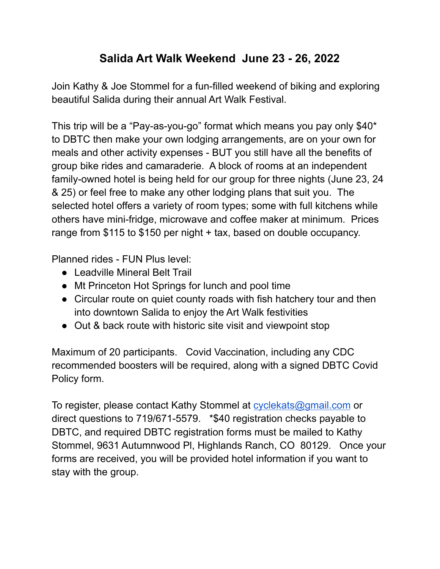## **Salida Art Walk Weekend June 23 - 26, 2022**

Join Kathy & Joe Stommel for a fun-filled weekend of biking and exploring beautiful Salida during their annual Art Walk Festival.

This trip will be a "Pay-as-you-go" format which means you pay only \$40\* to DBTC then make your own lodging arrangements, are on your own for meals and other activity expenses - BUT you still have all the benefits of group bike rides and camaraderie. A block of rooms at an independent family-owned hotel is being held for our group for three nights (June 23, 24 & 25) or feel free to make any other lodging plans that suit you. The selected hotel offers a variety of room types; some with full kitchens while others have mini-fridge, microwave and coffee maker at minimum. Prices range from \$115 to \$150 per night + tax, based on double occupancy.

Planned rides - FUN Plus level:

- Leadville Mineral Belt Trail
- Mt Princeton Hot Springs for lunch and pool time
- Circular route on quiet county roads with fish hatchery tour and then into downtown Salida to enjoy the Art Walk festivities
- Out & back route with historic site visit and viewpoint stop

Maximum of 20 participants. Covid Vaccination, including any CDC recommended boosters will be required, along with a signed DBTC Covid Policy form.

To register, please contact Kathy Stommel at [cyclekats@gmail.com](mailto:cyclekats@gmail.com) or direct questions to 719/671-5579. \*\$40 registration checks payable to DBTC, and required DBTC registration forms must be mailed to Kathy Stommel, 9631 Autumnwood Pl, Highlands Ranch, CO 80129. Once your forms are received, you will be provided hotel information if you want to stay with the group.